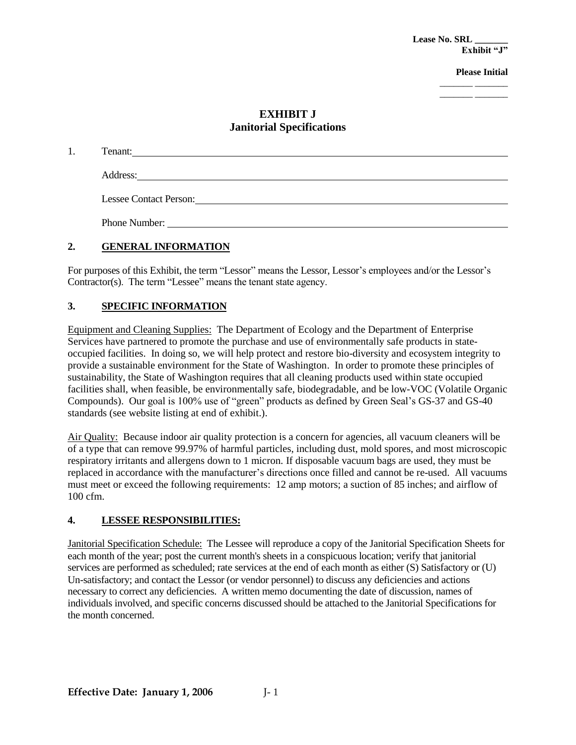**Lease No. SRL \_\_\_\_\_\_\_ Exhibit "J"**

**Please Initial** 

\_\_\_\_\_\_\_ \_\_\_\_\_\_\_ \_\_\_\_\_\_\_ \_\_\_\_\_\_\_

### **EXHIBIT J Janitorial Specifications**

| Tenant:                       |
|-------------------------------|
|                               |
| Address:                      |
| <b>Lessee Contact Person:</b> |
|                               |
| Phone Number:                 |

#### **2. GENERAL INFORMATION**

For purposes of this Exhibit, the term "Lessor" means the Lessor, Lessor's employees and/or the Lessor's Contractor(s). The term "Lessee" means the tenant state agency.

#### **3. SPECIFIC INFORMATION**

Equipment and Cleaning Supplies: The Department of Ecology and the Department of Enterprise Services have partnered to promote the purchase and use of environmentally safe products in stateoccupied facilities. In doing so, we will help protect and restore bio-diversity and ecosystem integrity to provide a sustainable environment for the State of Washington. In order to promote these principles of sustainability, the State of Washington requires that all cleaning products used within state occupied facilities shall, when feasible, be environmentally safe, biodegradable, and be low-VOC (Volatile Organic Compounds). Our goal is 100% use of "green" products as defined by Green Seal's GS-37 and GS-40 standards (see website listing at end of exhibit.).

Air Quality: Because indoor air quality protection is a concern for agencies, all vacuum cleaners will be of a type that can remove 99.97% of harmful particles, including dust, mold spores, and most microscopic respiratory irritants and allergens down to 1 micron. If disposable vacuum bags are used, they must be replaced in accordance with the manufacturer's directions once filled and cannot be re-used. All vacuums must meet or exceed the following requirements: 12 amp motors; a suction of 85 inches; and airflow of 100 cfm.

#### **4. LESSEE RESPONSIBILITIES:**

Janitorial Specification Schedule: The Lessee will reproduce a copy of the Janitorial Specification Sheets for each month of the year; post the current month's sheets in a conspicuous location; verify that janitorial services are performed as scheduled; rate services at the end of each month as either (S) Satisfactory or (U) Un-satisfactory; and contact the Lessor (or vendor personnel) to discuss any deficiencies and actions necessary to correct any deficiencies. A written memo documenting the date of discussion, names of individuals involved, and specific concerns discussed should be attached to the Janitorial Specifications for the month concerned.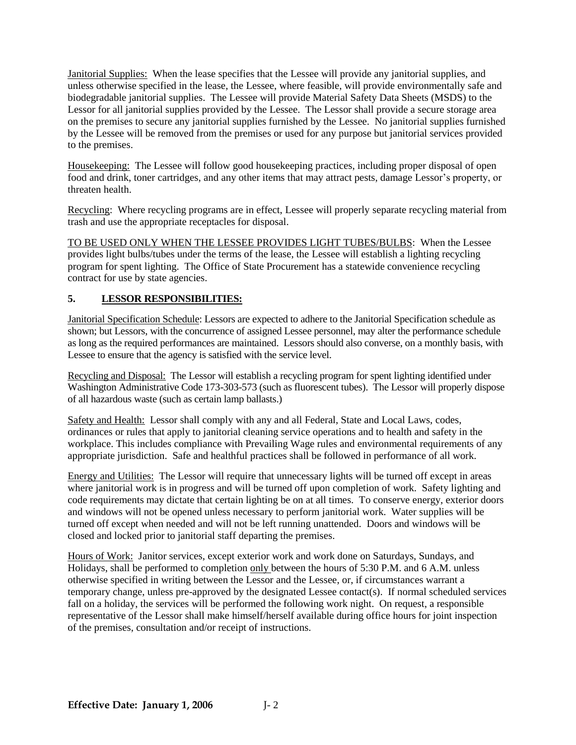Janitorial Supplies: When the lease specifies that the Lessee will provide any janitorial supplies, and unless otherwise specified in the lease, the Lessee, where feasible, will provide environmentally safe and biodegradable janitorial supplies. The Lessee will provide Material Safety Data Sheets (MSDS) to the Lessor for all janitorial supplies provided by the Lessee. The Lessor shall provide a secure storage area on the premises to secure any janitorial supplies furnished by the Lessee. No janitorial supplies furnished by the Lessee will be removed from the premises or used for any purpose but janitorial services provided to the premises.

Housekeeping: The Lessee will follow good housekeeping practices, including proper disposal of open food and drink, toner cartridges, and any other items that may attract pests, damage Lessor's property, or threaten health.

Recycling: Where recycling programs are in effect, Lessee will properly separate recycling material from trash and use the appropriate receptacles for disposal.

TO BE USED ONLY WHEN THE LESSEE PROVIDES LIGHT TUBES/BULBS: When the Lessee provides light bulbs/tubes under the terms of the lease, the Lessee will establish a lighting recycling program for spent lighting. The Office of State Procurement has a statewide convenience recycling contract for use by state agencies.

#### **5. LESSOR RESPONSIBILITIES:**

Janitorial Specification Schedule: Lessors are expected to adhere to the Janitorial Specification schedule as shown; but Lessors, with the concurrence of assigned Lessee personnel, may alter the performance schedule as long as the required performances are maintained. Lessors should also converse, on a monthly basis, with Lessee to ensure that the agency is satisfied with the service level.

Recycling and Disposal: The Lessor will establish a recycling program for spent lighting identified under Washington Administrative Code 173-303-573 (such as fluorescent tubes). The Lessor will properly dispose of all hazardous waste (such as certain lamp ballasts.)

Safety and Health: Lessor shall comply with any and all Federal, State and Local Laws, codes, ordinances or rules that apply to janitorial cleaning service operations and to health and safety in the workplace. This includes compliance with Prevailing Wage rules and environmental requirements of any appropriate jurisdiction. Safe and healthful practices shall be followed in performance of all work.

Energy and Utilities: The Lessor will require that unnecessary lights will be turned off except in areas where janitorial work is in progress and will be turned off upon completion of work. Safety lighting and code requirements may dictate that certain lighting be on at all times. To conserve energy, exterior doors and windows will not be opened unless necessary to perform janitorial work. Water supplies will be turned off except when needed and will not be left running unattended. Doors and windows will be closed and locked prior to janitorial staff departing the premises.

Hours of Work: Janitor services, except exterior work and work done on Saturdays, Sundays, and Holidays, shall be performed to completion only between the hours of 5:30 P.M. and 6 A.M. unless otherwise specified in writing between the Lessor and the Lessee, or, if circumstances warrant a temporary change, unless pre-approved by the designated Lessee contact(s). If normal scheduled services fall on a holiday, the services will be performed the following work night. On request, a responsible representative of the Lessor shall make himself/herself available during office hours for joint inspection of the premises, consultation and/or receipt of instructions.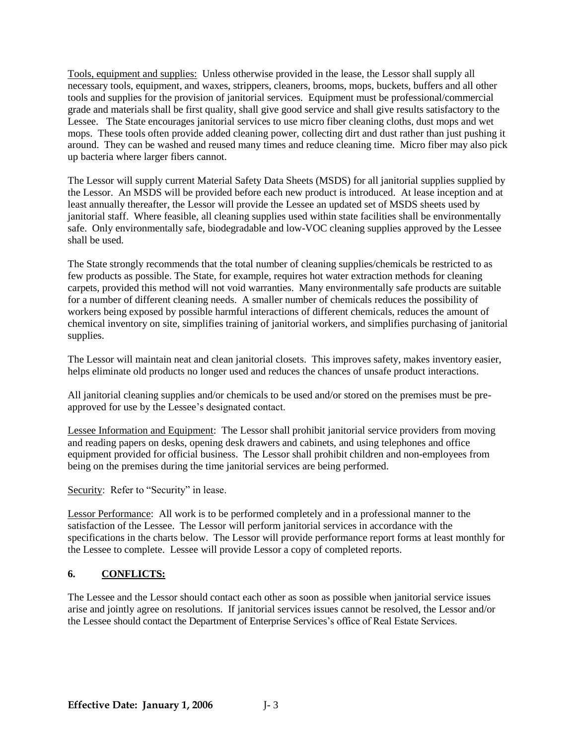Tools, equipment and supplies: Unless otherwise provided in the lease, the Lessor shall supply all necessary tools, equipment, and waxes, strippers, cleaners, brooms, mops, buckets, buffers and all other tools and supplies for the provision of janitorial services. Equipment must be professional/commercial grade and materials shall be first quality, shall give good service and shall give results satisfactory to the Lessee. The State encourages janitorial services to use micro fiber cleaning cloths, dust mops and wet mops. These tools often provide added cleaning power, collecting dirt and dust rather than just pushing it around. They can be washed and reused many times and reduce cleaning time. Micro fiber may also pick up bacteria where larger fibers cannot.

The Lessor will supply current Material Safety Data Sheets (MSDS) for all janitorial supplies supplied by the Lessor. An MSDS will be provided before each new product is introduced. At lease inception and at least annually thereafter, the Lessor will provide the Lessee an updated set of MSDS sheets used by janitorial staff. Where feasible, all cleaning supplies used within state facilities shall be environmentally safe. Only environmentally safe, biodegradable and low-VOC cleaning supplies approved by the Lessee shall be used.

The State strongly recommends that the total number of cleaning supplies/chemicals be restricted to as few products as possible. The State, for example, requires hot water extraction methods for cleaning carpets, provided this method will not void warranties. Many environmentally safe products are suitable for a number of different cleaning needs. A smaller number of chemicals reduces the possibility of workers being exposed by possible harmful interactions of different chemicals, reduces the amount of chemical inventory on site, simplifies training of janitorial workers, and simplifies purchasing of janitorial supplies.

The Lessor will maintain neat and clean janitorial closets. This improves safety, makes inventory easier, helps eliminate old products no longer used and reduces the chances of unsafe product interactions.

All janitorial cleaning supplies and/or chemicals to be used and/or stored on the premises must be preapproved for use by the Lessee's designated contact.

Lessee Information and Equipment: The Lessor shall prohibit janitorial service providers from moving and reading papers on desks, opening desk drawers and cabinets, and using telephones and office equipment provided for official business. The Lessor shall prohibit children and non-employees from being on the premises during the time janitorial services are being performed.

Security: Refer to "Security" in lease.

Lessor Performance: All work is to be performed completely and in a professional manner to the satisfaction of the Lessee. The Lessor will perform janitorial services in accordance with the specifications in the charts below. The Lessor will provide performance report forms at least monthly for the Lessee to complete. Lessee will provide Lessor a copy of completed reports.

#### **6. CONFLICTS:**

The Lessee and the Lessor should contact each other as soon as possible when janitorial service issues arise and jointly agree on resolutions. If janitorial services issues cannot be resolved, the Lessor and/or the Lessee should contact the Department of Enterprise Services's office of Real Estate Services.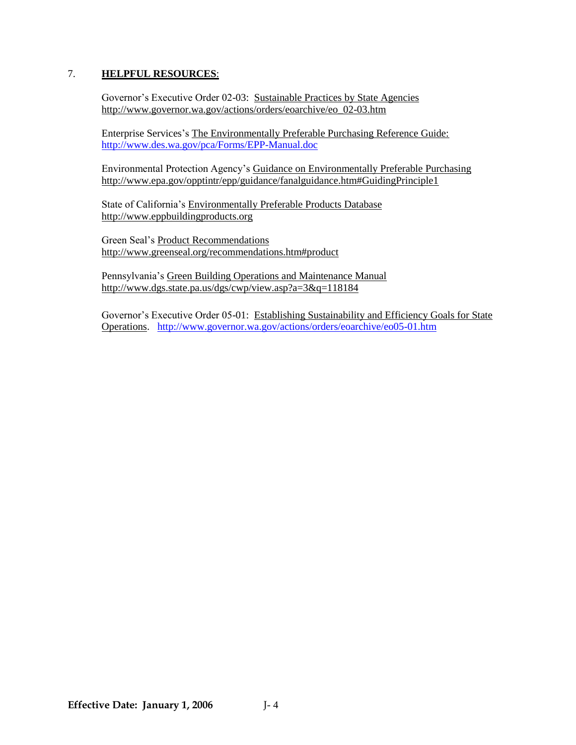#### 7. **HELPFUL RESOURCES**:

Governor's Executive Order 02-03: Sustainable Practices by State Agencies [http://www.governor.wa.gov/actions/orders/eoarchive/eo\\_02-03.htm](http://www.governor.wa.gov/actions/orders/eoarchive/eo_02-03.htm)

Enterprise Services's The Environmentally Preferable Purchasing Reference Guide: <http://www.des.wa.gov/pca/Forms/EPP-Manual.doc>

Environmental Protection Agency's Guidance on Environmentally Preferable Purchasing <http://www.epa.gov/opptintr/epp/guidance/fanalguidance.htm#GuidingPrinciple1>

State of California's Environmentally Preferable Products Database [http://www.eppbuildingproducts.org](http://www.eppbuildingproducts.org/)

Green Seal's Product Recommendations <http://www.greenseal.org/recommendations.htm#product>

Pennsylvania's Green Building Operations and Maintenance Manual <http://www.dgs.state.pa.us/dgs/cwp/view.asp?a=3&q=118184>

Governor's Executive Order 05-01: Establishing Sustainability and Efficiency Goals for State Operations. <http://www.governor.wa.gov/actions/orders/eoarchive/eo05-01.htm>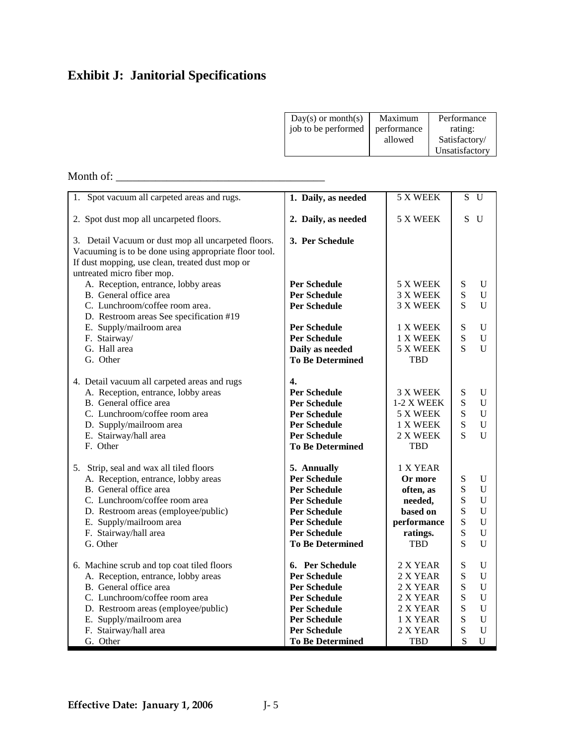## **Exhibit J: Janitorial Specifications**

| $Day(s)$ or month(s)<br>job to be performed | Maximum<br>performance<br>allowed | Performance<br>rating:<br>Satisfactory/<br>Unsatisfactory |
|---------------------------------------------|-----------------------------------|-----------------------------------------------------------|
|                                             |                                   |                                                           |

### Month of: \_\_\_\_\_\_\_\_\_\_\_\_\_\_\_\_\_\_\_\_\_\_\_\_\_\_\_\_\_\_\_\_\_\_\_\_\_

| 1. Spot vacuum all carpeted areas and rugs.                       | 1. Daily, as needed     | 5 X WEEK          |                | S U            |
|-------------------------------------------------------------------|-------------------------|-------------------|----------------|----------------|
| 2. Spot dust mop all uncarpeted floors.                           | 2. Daily, as needed     | 5 X WEEK          | S              | $\mathbf{U}$   |
| 3. Detail Vacuum or dust mop all uncarpeted floors.               | 3. Per Schedule         |                   |                |                |
| Vacuuming is to be done using appropriate floor tool.             |                         |                   |                |                |
| If dust mopping, use clean, treated dust mop or                   |                         |                   |                |                |
| untreated micro fiber mop.<br>A. Reception, entrance, lobby areas | <b>Per Schedule</b>     | 5 X WEEK          | ${\bf S}$      | U              |
| B. General office area                                            | <b>Per Schedule</b>     | 3 X WEEK          | S              | $\mathbf U$    |
| C. Lunchroom/coffee room area.                                    | <b>Per Schedule</b>     | 3 X WEEK          | S              | $\mathbf{U}$   |
| D. Restroom areas See specification #19                           |                         |                   |                |                |
| E. Supply/mailroom area                                           | <b>Per Schedule</b>     | 1 X WEEK          | S              | U              |
| F. Stairway/                                                      | <b>Per Schedule</b>     | 1 X WEEK          | S              | $\mathbf U$    |
| G. Hall area                                                      | Daily as needed         | 5 X WEEK          | $\overline{S}$ | $\mathbf{U}$   |
| G. Other                                                          | <b>To Be Determined</b> | TBD               |                |                |
|                                                                   |                         |                   |                |                |
| 4. Detail vacuum all carpeted areas and rugs                      | $\overline{4}$ .        |                   |                |                |
| A. Reception, entrance, lobby areas                               | <b>Per Schedule</b>     | 3 X WEEK          | ${\bf S}$      | $\mathbf U$    |
| B. General office area                                            | <b>Per Schedule</b>     | <b>1-2 X WEEK</b> | S              | $\mathbf{U}$   |
| C. Lunchroom/coffee room area                                     | <b>Per Schedule</b>     | 5 X WEEK          | S              | $\mathbf U$    |
| D. Supply/mailroom area                                           | <b>Per Schedule</b>     | 1 X WEEK          | S              | $\mathbf U$    |
| E. Stairway/hall area                                             | <b>Per Schedule</b>     | 2 X WEEK          | S              | $\overline{U}$ |
| F. Other                                                          | <b>To Be Determined</b> | <b>TBD</b>        |                |                |
| 5. Strip, seal and wax all tiled floors                           | 5. Annually             | 1 X YEAR          |                |                |
| A. Reception, entrance, lobby areas                               | <b>Per Schedule</b>     | Or more           | ${\bf S}$      | $\mathbf U$    |
| B. General office area                                            | <b>Per Schedule</b>     | often, as         | S              | U              |
| C. Lunchroom/coffee room area                                     | <b>Per Schedule</b>     | needed,           | ${\bf S}$      | U              |
| D. Restroom areas (employee/public)                               | <b>Per Schedule</b>     | based on          | S              | $\mathbf U$    |
| E. Supply/mailroom area                                           | <b>Per Schedule</b>     | performance       | S              | $\mathbf U$    |
| F. Stairway/hall area                                             | <b>Per Schedule</b>     | ratings.          | S              | U              |
| G. Other                                                          | <b>To Be Determined</b> | <b>TBD</b>        | S              | U              |
| 6. Machine scrub and top coat tiled floors                        | 6. Per Schedule         | 2 X YEAR          | ${\bf S}$      | U              |
| A. Reception, entrance, lobby areas                               | <b>Per Schedule</b>     | 2 X YEAR          | S              | U              |
| B. General office area                                            | <b>Per Schedule</b>     | 2 X YEAR          | S              | $\mathbf{U}$   |
| C. Lunchroom/coffee room area                                     | <b>Per Schedule</b>     | 2 X YEAR          | S              | $\mathbf U$    |
| D. Restroom areas (employee/public)                               | <b>Per Schedule</b>     | 2 X YEAR          | ${\bf S}$      | $\mathbf U$    |
| E. Supply/mailroom area                                           | <b>Per Schedule</b>     | 1 X YEAR          | S              | U              |
| F. Stairway/hall area                                             | <b>Per Schedule</b>     | 2 X YEAR          | S              | $\mathbf U$    |
| G. Other                                                          | <b>To Be Determined</b> | <b>TBD</b>        | S              | U              |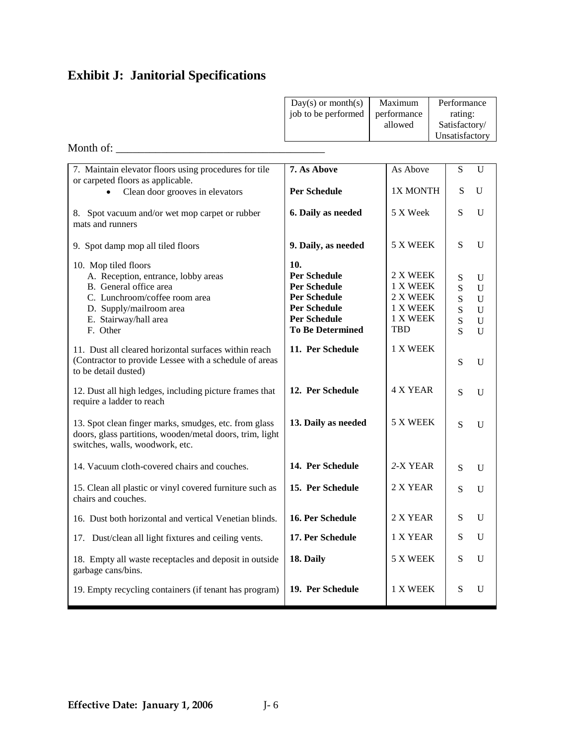|                                                                                                                                                                                        | $Day(s)$ or month $(s)$<br>job to be performed                                                                                                    | Maximum<br>performance<br>allowed                               |  | Performance<br>rating:<br>Satisfactory/<br>Unsatisfactory          |                                                                              |  |
|----------------------------------------------------------------------------------------------------------------------------------------------------------------------------------------|---------------------------------------------------------------------------------------------------------------------------------------------------|-----------------------------------------------------------------|--|--------------------------------------------------------------------|------------------------------------------------------------------------------|--|
| Month of:                                                                                                                                                                              |                                                                                                                                                   |                                                                 |  |                                                                    |                                                                              |  |
| 7. Maintain elevator floors using procedures for tile                                                                                                                                  | 7. As Above                                                                                                                                       | As Above                                                        |  | ${\bf S}$                                                          | $\mathbf U$                                                                  |  |
| or carpeted floors as applicable.<br>Clean door grooves in elevators<br>$\bullet$                                                                                                      | <b>Per Schedule</b>                                                                                                                               | 1X MONTH                                                        |  | S                                                                  | U                                                                            |  |
| 8. Spot vacuum and/or wet mop carpet or rubber<br>mats and runners                                                                                                                     | 6. Daily as needed                                                                                                                                | 5 X Week                                                        |  | S                                                                  | $\mathbf U$                                                                  |  |
| 9. Spot damp mop all tiled floors                                                                                                                                                      | 9. Daily, as needed                                                                                                                               | 5 X WEEK                                                        |  | S                                                                  | U                                                                            |  |
| 10. Mop tiled floors<br>A. Reception, entrance, lobby areas<br>B. General office area<br>C. Lunchroom/coffee room area<br>D. Supply/mailroom area<br>E. Stairway/hall area<br>F. Other | 10.<br><b>Per Schedule</b><br><b>Per Schedule</b><br><b>Per Schedule</b><br><b>Per Schedule</b><br><b>Per Schedule</b><br><b>To Be Determined</b> | 2 X WEEK<br>1 X WEEK<br>2 X WEEK<br>1 X WEEK<br>1 X WEEK<br>TBD |  | ${\bf S}$<br>${\bf S}$<br>${\bf S}$<br>${\bf S}$<br>${\bf S}$<br>S | U<br>$\mathbf U$<br>$\mathbf U$<br>$\mathbf U$<br>$\mathbf U$<br>$\mathbf U$ |  |
| 11. Dust all cleared horizontal surfaces within reach<br>(Contractor to provide Lessee with a schedule of areas<br>to be detail dusted)                                                | 11. Per Schedule                                                                                                                                  | 1 X WEEK                                                        |  | S                                                                  | U                                                                            |  |
| 12. Dust all high ledges, including picture frames that<br>require a ladder to reach                                                                                                   | 12. Per Schedule                                                                                                                                  | <b>4 X YEAR</b>                                                 |  | S                                                                  | $\mathbf U$                                                                  |  |
| 13. Spot clean finger marks, smudges, etc. from glass<br>doors, glass partitions, wooden/metal doors, trim, light<br>switches, walls, woodwork, etc.                                   | 13. Daily as needed                                                                                                                               | 5 X WEEK                                                        |  | S                                                                  | U                                                                            |  |
| 14. Vacuum cloth-covered chairs and couches.                                                                                                                                           | 14. Per Schedule                                                                                                                                  | 2-X YEAR                                                        |  | ${\bf S}$                                                          | U                                                                            |  |
| 15. Clean all plastic or vinyl covered furniture such as<br>chairs and couches.                                                                                                        | 15. Per Schedule                                                                                                                                  | 2 X YEAR                                                        |  | S                                                                  | U                                                                            |  |
| 16. Dust both horizontal and vertical Venetian blinds.                                                                                                                                 | 16. Per Schedule                                                                                                                                  | 2 X YEAR                                                        |  | S                                                                  | $\mathbf U$                                                                  |  |
| 17. Dust/clean all light fixtures and ceiling vents.                                                                                                                                   | 17. Per Schedule                                                                                                                                  | 1 X YEAR                                                        |  | S                                                                  | $\mathbf U$                                                                  |  |
| 18. Empty all waste receptacles and deposit in outside<br>garbage cans/bins.                                                                                                           | 18. Daily                                                                                                                                         | 5 X WEEK                                                        |  | ${\bf S}$                                                          | $\mathbf U$                                                                  |  |
| 19. Empty recycling containers (if tenant has program)                                                                                                                                 | 19. Per Schedule                                                                                                                                  | 1 X WEEK                                                        |  | $\mathbf S$                                                        | $\mathbf U$                                                                  |  |

## **Exhibit J: Janitorial Specifications**